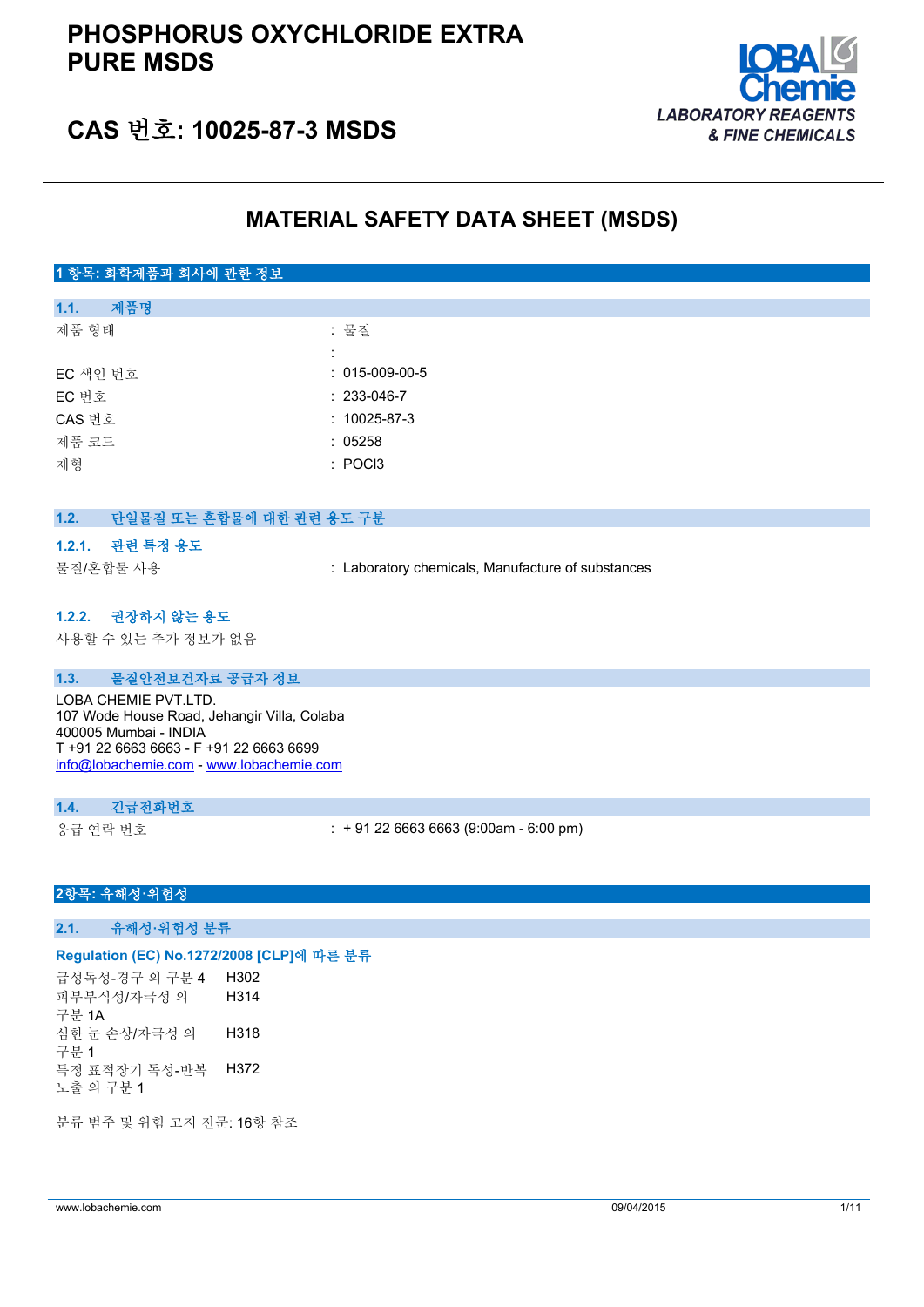# **PHOSPHORUS OXYCHLORIDE EXTRA PURE MSDS**



# **CAS 번호: 10025-87-3 MSDS**

# **MATERIAL SAFETY DATA SHEET (MSDS)**

## **1 항목: 화학제품과 회사에 관한 정보**

| 1.1.     | 제품명 |                        |
|----------|-----|------------------------|
| 제품 형태    |     | : 물질                   |
|          |     |                        |
| EC 색인 번호 |     | $: 015 - 009 - 00 - 5$ |
| EC 번호    |     | $: 233 - 046 - 7$      |
| CAS 번호   |     | $: 10025 - 87 - 3$     |
| 제품 코드    |     | : 05258                |
| 제형       |     | : POCI3                |
|          |     |                        |

### **1.2. 단일물질 또는 혼합물에 대한 관련 용도 구분**

#### **1.2.1. 관련 특정 용도**

물질/혼합물 사용 : Laboratory chemicals, Manufacture of substances

### **1.2.2. 권장하지 않는 용도**

사용할 수 있는 추가 정보가 없음

#### **1.3. 물질안전보건자료 공급자 정보**

LOBA CHEMIE PVT.LTD. 107 Wode House Road, Jehangir Villa, Colaba 400005 Mumbai - INDIA T +91 22 6663 6663 - F +91 22 6663 6699 [info@lobachemie.com](mailto:info@lobachemie.com) - <www.lobachemie.com>

### **1.4. 긴급전화번호**

응급 연락 번호 : + 91 22 6663 6663 (9:00am - 6:00 pm)

### **2항목: 유해성·위험성**

**2.1. 유해성·위험성 분류**

### **Regulation (EC) No.1272/2008 [CLP]에 따른 분류**

급성독성-경구 의 구분 4 H302 피부부식성/자극성 의 구분 1A H314 심한 눈 손상/자극성 의 구분 1 H318 특정 표적장기 독성-반복 노출 의 구분 1 H372

분류 범주 및 위험 고지 전문: 16항 참조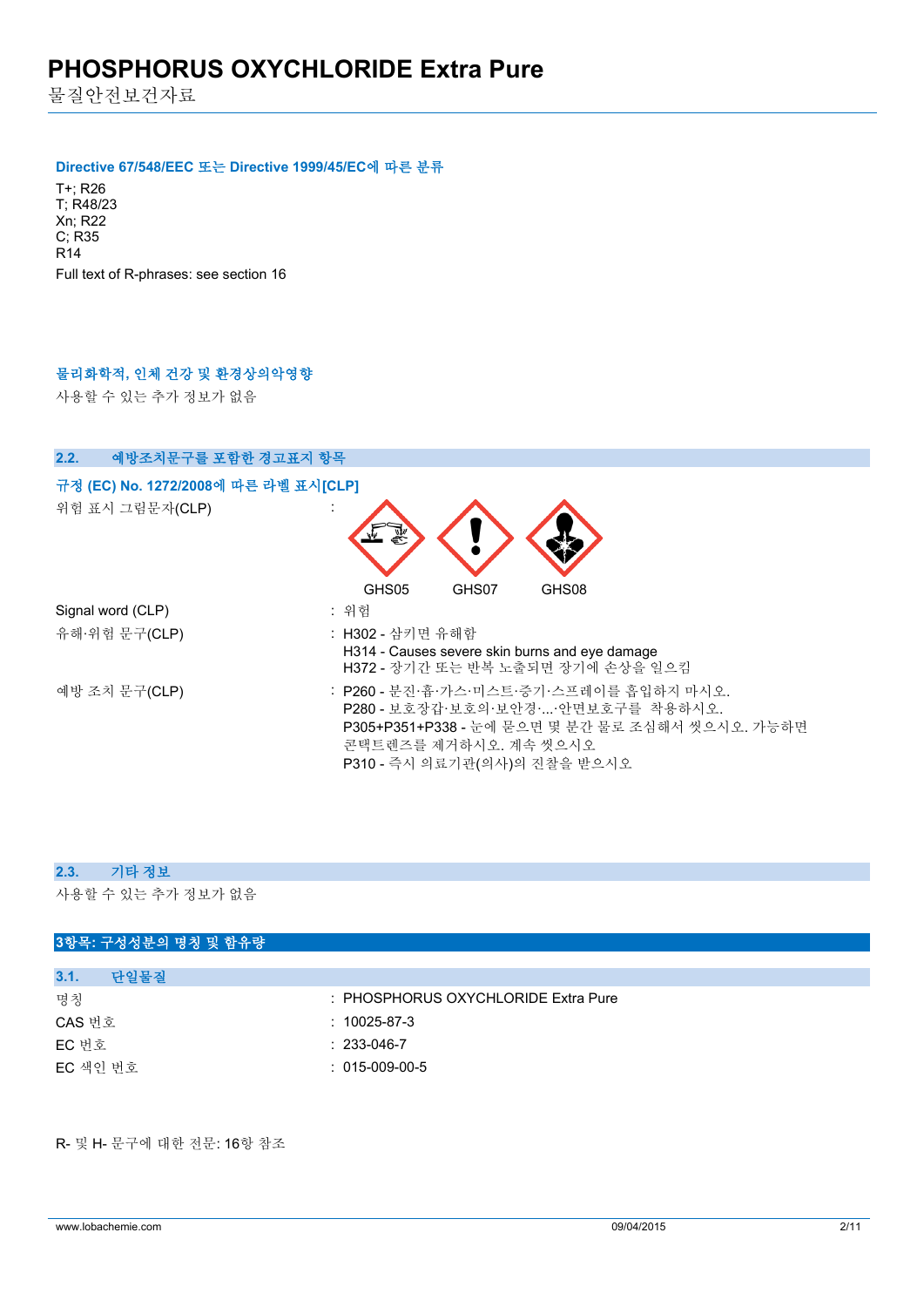물질안전보건자료

#### **Directive 67/548/EEC 또는 Directive 1999/45/EC에 따른 분류**

T+; R26 T; R48/23 Xn; R22 C; R35 R14 Full text of R-phrases: see section 16

## **물리화학적, 인체 건강 및 환경상의악영향**

사용할 수 있는 추가 정보가 없음

| 예방조치문구를 포함한 경고표지 항목<br>2.2.          |                                                                                                                                                                                           |
|--------------------------------------|-------------------------------------------------------------------------------------------------------------------------------------------------------------------------------------------|
| 규정 (EC) No. 1272/2008에 따른 라벨 표시[CLP] |                                                                                                                                                                                           |
| 위험 표시 그림문자(CLP)                      |                                                                                                                                                                                           |
|                                      | GHS05<br>GHS07<br>GHS08                                                                                                                                                                   |
| Signal word (CLP)                    | : 위험                                                                                                                                                                                      |
| 유해·위험 문구(CLP)                        | : H302 - 삼키면 유해함<br>H314 - Causes severe skin burns and eye damage<br>H372 - 장기간 또는 반복 노출되면 장기에 손상을 일으킴                                                                                   |
| 예방 조치 문구(CLP)                        | : P260 - 분진·흄·가스·미스트·증기·스프레이를 흡입하지 마시오.<br>P280 - 보호장갑·보호의·보안경··안면보호구를 착용하시오.<br>P305+P351+P338 - 눈에 묻으면 몇 분간 물로 조심해서 씻으시오. 가능하면<br>콘택트렌즈를 제거하시오. 계속 씻으시오<br>P310 - 즉시 의료기관(의사)의 진찰을 받으시오 |

## **2.3. 기타 정보**

사용할 수 있는 추가 정보가 없음

### **3항목: 구성성분의 명칭 및 함유량**

| 3.1.<br>다일물질 |                                     |
|--------------|-------------------------------------|
| 명칭           | : PHOSPHORUS OXYCHLORIDE Extra Pure |
| CAS 번호       | $:10025-87-3$                       |
| EC 번호        | $: 233 - 046 - 7$                   |
| EC 색인 번호     | $: 015-009-00-5$                    |
|              |                                     |

R- 및 H- 문구에 대한 전문: 16항 참조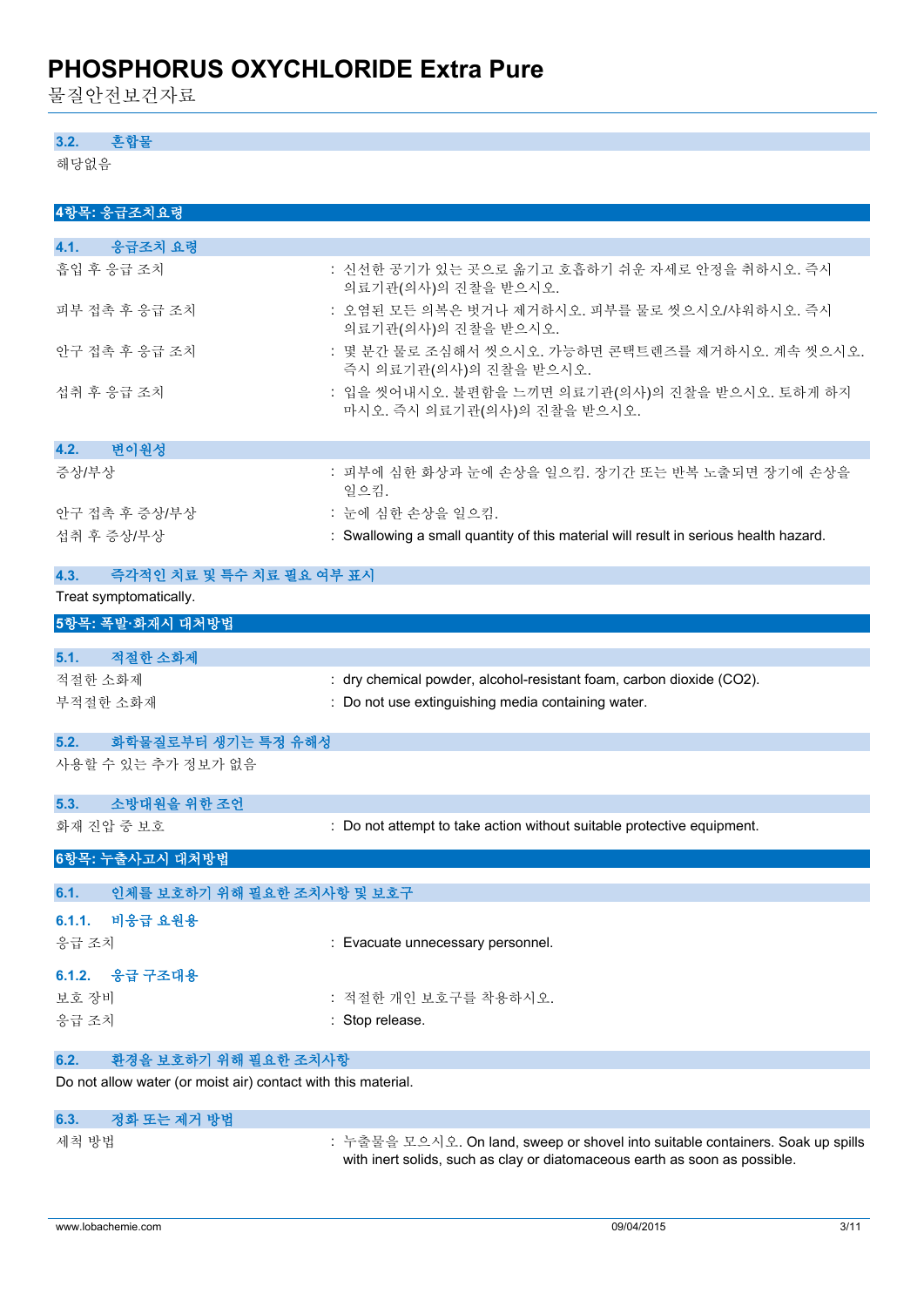물질안전보건자료

### **3.2. 혼합물**

해당없음

| 4항목: 응급조치요령                                                   |                                                                                                                                                              |  |  |
|---------------------------------------------------------------|--------------------------------------------------------------------------------------------------------------------------------------------------------------|--|--|
|                                                               |                                                                                                                                                              |  |  |
| 응급조치 요령<br>4.1.                                               |                                                                                                                                                              |  |  |
| 흡입 후 응급 조치                                                    | : 신선한 공기가 있는 곳으로 옮기고 호흡하기 쉬운 자세로 안정을 취하시오. 즉시<br>의료기관(의사)의 진찰을 받으시오.                                                                                         |  |  |
| 피부 접촉 후 응급 조치                                                 | : 오염된 모든 의복은 벗거나 제거하시오. 피부를 물로 씻으시오/샤워하시오. 즉시<br>의료기관(의사)의 진찰을 받으시오.                                                                                         |  |  |
| 안구 접촉 후 응급 조치                                                 | : 몇 분간 물로 조심해서 씻으시오. 가능하면 콘택트렌즈를 제거하시오. 계속 씻으시오.<br>즉시 의료기관(의사)의 진찰을 받으시오.                                                                                   |  |  |
| 섭취 후 응급 조치                                                    | : 입을 씻어내시오. 불편함을 느끼면 의료기관(의사)의 진찰을 받으시오. 토하게 하지<br>마시오. 즉시 의료기관(의사)의 진찰을 받으시오.                                                                               |  |  |
| 4.2.<br>변이원성                                                  |                                                                                                                                                              |  |  |
| 증상/부상                                                         | : 피부에 심한 화상과 눈에 손상을 일으킴. 장기간 또는 반복 노출되면 장기에 손상을<br>일으킴.                                                                                                      |  |  |
| 안구 접촉 후 증상/부상                                                 | : 눈에 심한 손상을 일으킴.                                                                                                                                             |  |  |
| 섭취 후 증상/부상                                                    | : Swallowing a small quantity of this material will result in serious health hazard.                                                                         |  |  |
| 4.3.<br>즉각적인 치료 및 특수 치료 필요 여부 표시                              |                                                                                                                                                              |  |  |
| Treat symptomatically.                                        |                                                                                                                                                              |  |  |
| 5항목: 폭발·화재시 대처방법                                              |                                                                                                                                                              |  |  |
|                                                               |                                                                                                                                                              |  |  |
| 적절한 소화제<br>5.1.                                               |                                                                                                                                                              |  |  |
| 적절한 소화제                                                       | : dry chemical powder, alcohol-resistant foam, carbon dioxide (CO2).                                                                                         |  |  |
| 부적절한 소화재                                                      | : Do not use extinguishing media containing water.                                                                                                           |  |  |
| 5.2.<br>화학물질로부터 생기는 특정 유해성                                    |                                                                                                                                                              |  |  |
| 사용할 수 있는 추가 정보가 없음                                            |                                                                                                                                                              |  |  |
| 소방대원을 위한 조언<br>5.3.                                           |                                                                                                                                                              |  |  |
| 화재 진압 중 보호                                                    | : Do not attempt to take action without suitable protective equipment.                                                                                       |  |  |
| 6항목: 누출사고시 대처방법                                               |                                                                                                                                                              |  |  |
| 6.1.<br>인체를 보호하기 위해 필요한 조치사항 및 보호구                            |                                                                                                                                                              |  |  |
| 비응급 요원용<br>6.1.1.                                             |                                                                                                                                                              |  |  |
| 응급 조치                                                         | : Evacuate unnecessary personnel.                                                                                                                            |  |  |
| 응급 구조대용<br>6.1.2.                                             |                                                                                                                                                              |  |  |
| 보호 장비                                                         | : 적절한 개인 보호구를 착용하시오.                                                                                                                                         |  |  |
| 응급 조치                                                         | : Stop release.                                                                                                                                              |  |  |
|                                                               |                                                                                                                                                              |  |  |
| 환경을 보호하기 위해 필요한 조치사항<br>6.2.                                  |                                                                                                                                                              |  |  |
| Do not allow water (or moist air) contact with this material. |                                                                                                                                                              |  |  |
| 정화 또는 제거 방법<br>6.3.                                           |                                                                                                                                                              |  |  |
| 세척 방법                                                         | : 누출물을 모으시오. On land, sweep or shovel into suitable containers. Soak up spills<br>with inert solids, such as clay or diatomaceous earth as soon as possible. |  |  |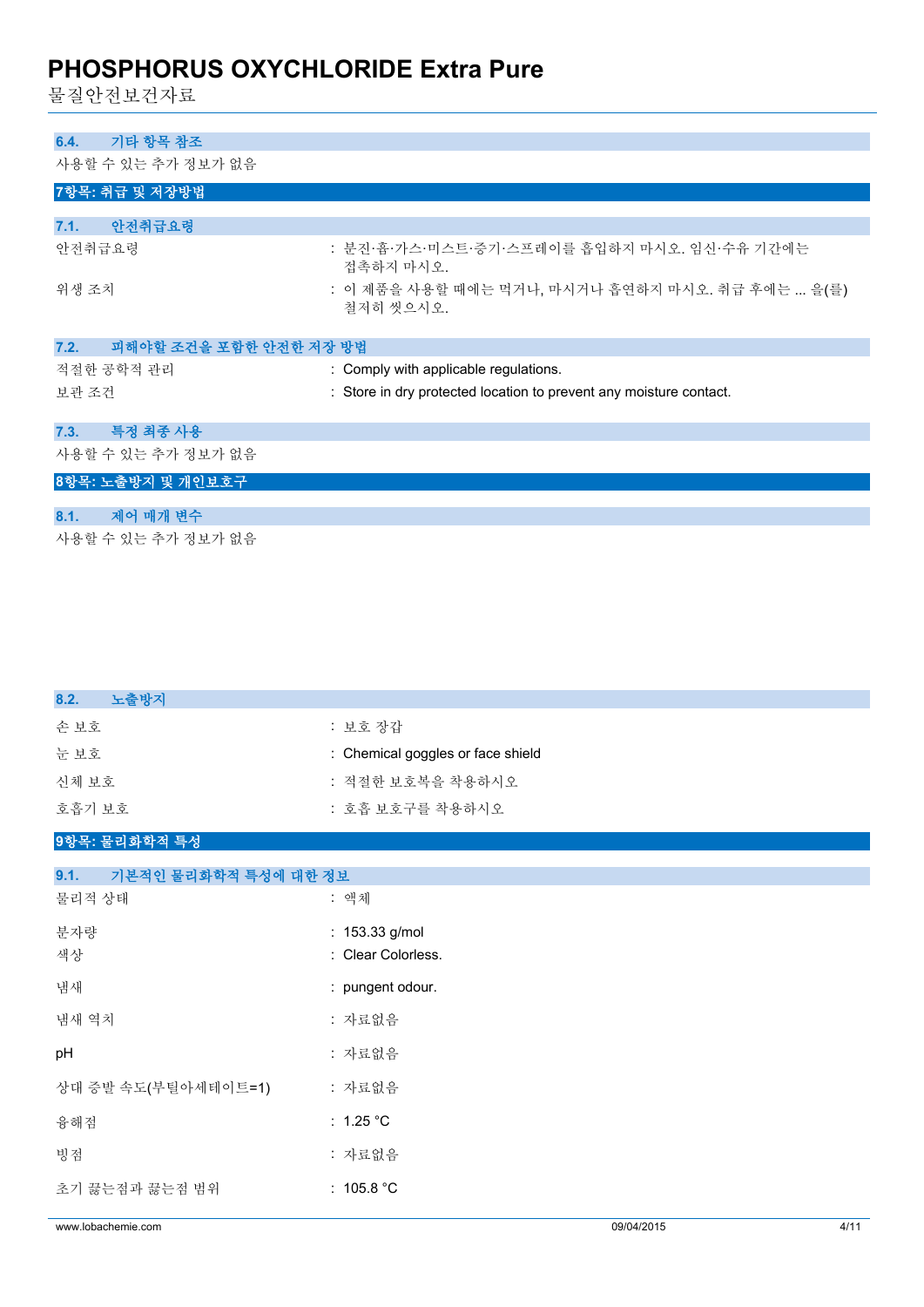물질안전보건자료

# **6.4. 기타 항목 참조** 사용할 수 있는 추가 정보가 없음 **7항목: 취급 및 저장방법 7.1. 안전취급요령** 안전취급요령 : 분진·흄·가스·미스트·증기·스프레이를 흡입하지 마시오. 임신·수유 기간에는 접촉하지 마시오. 위생 조치 : 이 제품을 사용할 때에는 먹거나, 마시거나 흡연하지 마시오. 취급 후에는 ... 을(를) 철저히 씻으시오. **7.2. 피해야할 조건을 포함한 안전한 저장 방법** 적절한 공학적 관리 : Comply with applicable regulations. 보관 조건 : Store in dry protected location to prevent any moisture contact. **7.3. 특정 최종 사용** 사용할 수 있는 추가 정보가 없음 **8항목: 노출방지 및 개인보호구 8.1. 제어 매개 변수**

사용할 수 있는 추가 정보가 없음

| 노출방지<br>8.2.                 |                                   |
|------------------------------|-----------------------------------|
| 손보호                          | : 보호 장갑                           |
| 눈보호                          | : Chemical goggles or face shield |
| 신체 보호                        | : 적절한 보호복을 착용하시오                  |
| 호흡기 보호                       | : 호흡 보호구를 착용하시오                   |
| 9항목: 물리화학적 특성                |                                   |
| 기본적인 물리화학적 특성에 대한 정보<br>9.1. |                                   |
| 물리적 상태                       | : 액체                              |
| 분자량                          | : 153.33 g/mol                    |
| 색상                           | : Clear Colorless.                |
| 냄새                           | : pungent odour.                  |
| 냄새 역치                        | : 자료없음                            |
| pH                           | : 자료없음                            |
| 상대 증발 속도(부틸아세테이트=1)          | : 자료없음                            |
| 융해점                          | : $1.25 °C$                       |
| 빙점                           | : 자료없음                            |
| 초기 끓는점과 끓는점 범위               | : $105.8 °C$                      |
|                              |                                   |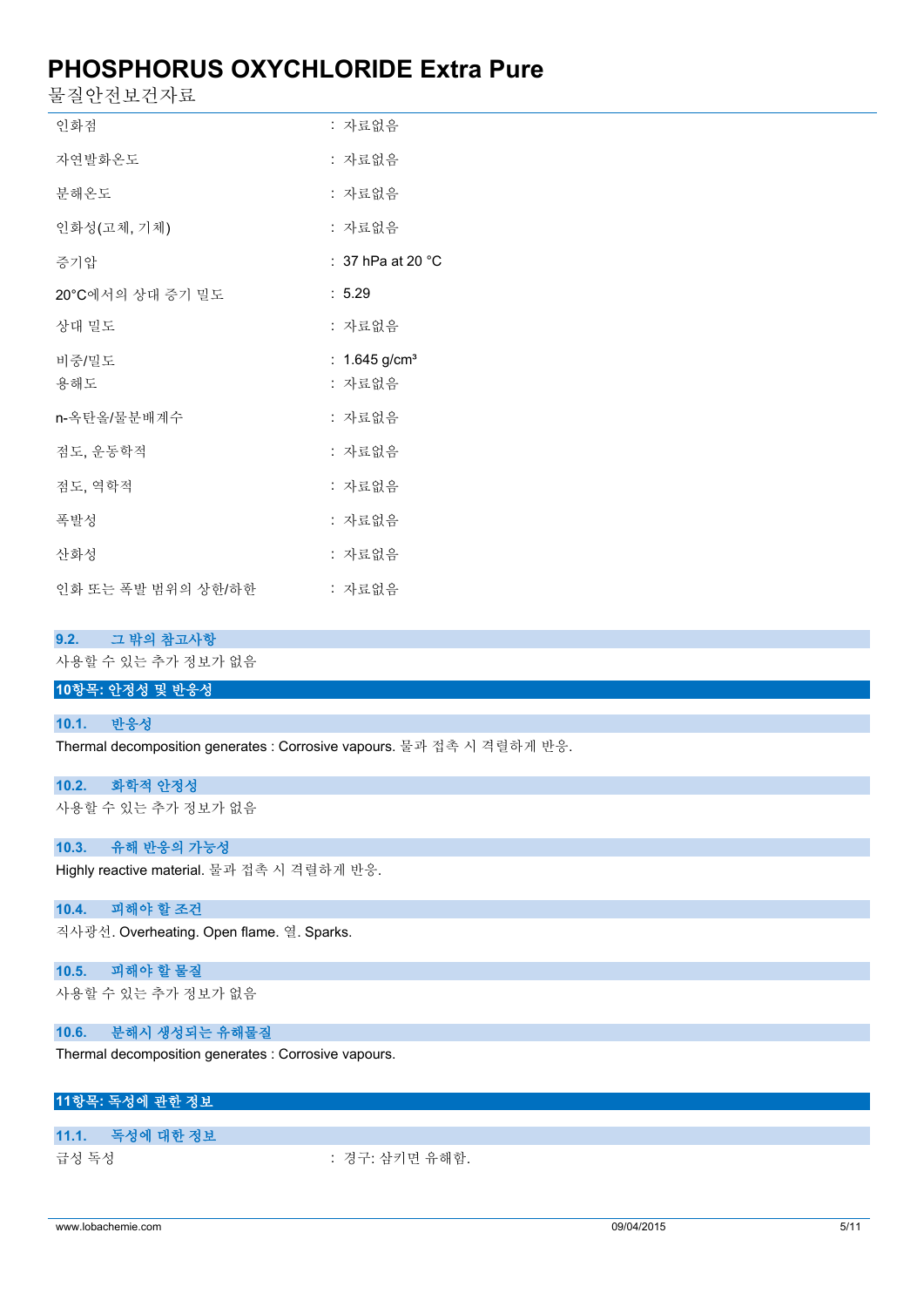물질안전보건자료

| 인화점                | : 자료없음                      |
|--------------------|-----------------------------|
| 자연발화온도             | : 자료없음                      |
| 분해온도               | : 자료없음                      |
| 인화성(고체, 기체)        | : 자료없음                      |
| 증기압                | $\colon$ 37 hPa at 20 °C    |
| 20°C에서의 상대 증기 밀도   | : 5.29                      |
| 상대 밀도              | : 자료없음                      |
| 비중/밀도              | : $1.645$ g/cm <sup>3</sup> |
| 용해도                | : 자료없음                      |
| n-옥탄올/물분배계수        | : 자료없음                      |
| 점도, 운동학적           | : 자료없음                      |
| 점도, 역학적            | : 자료없음                      |
| 폭발성                | : 자료없음                      |
| 산화성                | : 자료없음                      |
| 인화 또는 폭발 범위의 상한/하한 | : 자료없음                      |

### **9.2. 그 밖의 참고사항**

사용할 수 있는 추가 정보가 없음

### **10항목: 안정성 및 반응성**

#### **10.1. 반응성**

Thermal decomposition generates : Corrosive vapours. 물과 접촉 시 격렬하게 반응.

#### **10.2. 화학적 안정성**

사용할 수 있는 추가 정보가 없음

### **10.3. 유해 반응의 가능성**

Highly reactive material. 물과 접촉 시 격렬하게 반응.

### **10.4. 피해야 할 조건**

직사광선. Overheating. Open flame. 열. Sparks.

### **10.5. 피해야 할 물질**

사용할 수 있는 추가 정보가 없음

#### **10.6. 분해시 생성되는 유해물질**

Thermal decomposition generates : Corrosive vapours.

## **11항목: 독성에 관한 정보**

### **11.1. 독성에 대한 정보**

급성 독성 : 경구: 삼키면 유해함.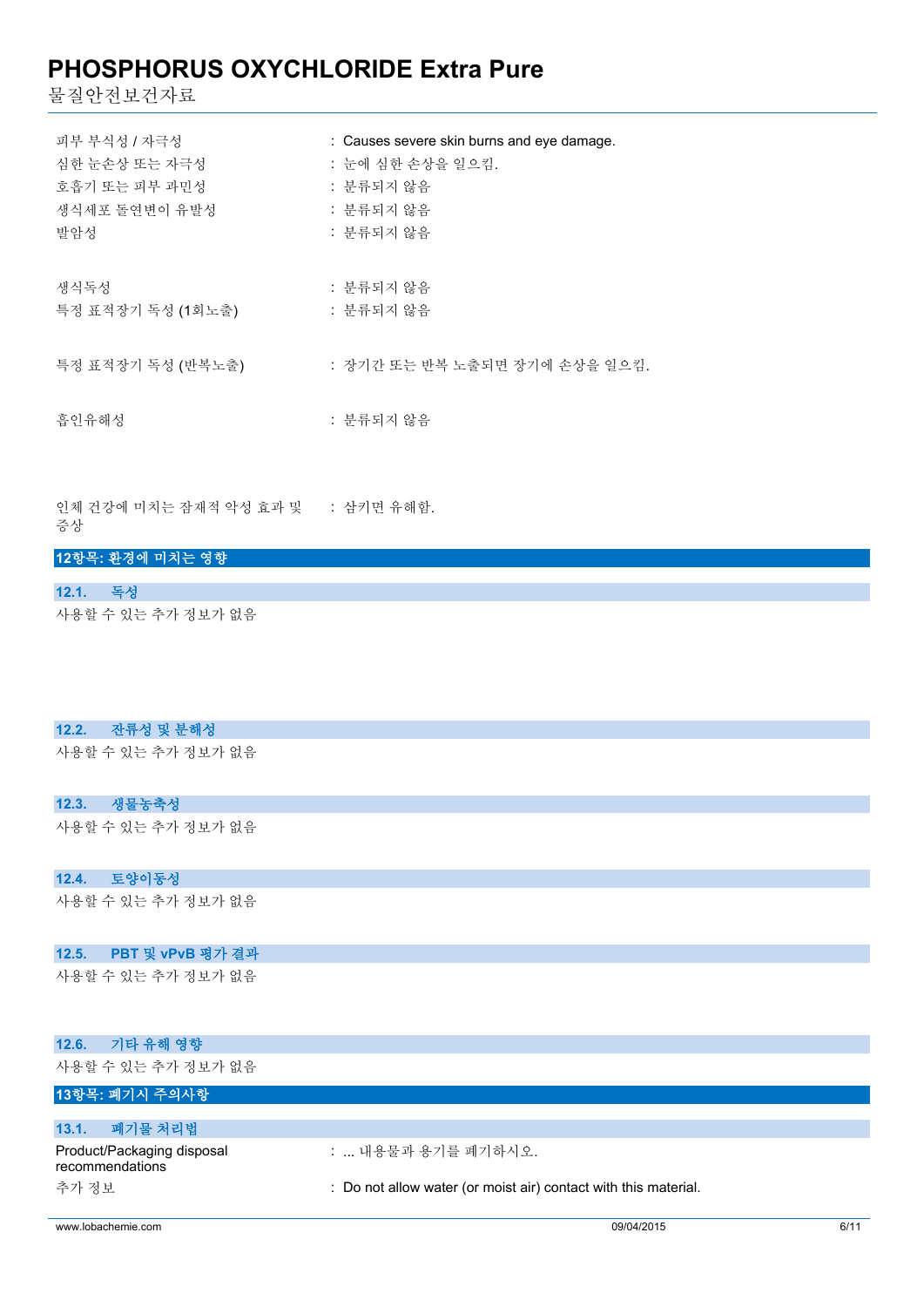물질안전보건자료

| 피부 부식성 / 자극성      | : Causes severe skin burns and eye damage. |
|-------------------|--------------------------------------------|
| 심한 눈손상 또는 자극성     | : 눈에 심하 손상을 일으킴.                           |
| 호흡기 또는 피부 과민성     | : 분류되지 않음                                  |
| 생식세포 돌연변이 유발성     | : 분류되지 않음                                  |
| 발암성               | : 분류되지 않음                                  |
| 생식독성              | : 분류되지 않음                                  |
| 특정 표적장기 독성 (1회노출) | : 분류되지 않음                                  |
| 특정 표적장기 독성 (반복노출) | : 장기간 또는 반복 노출되면 장기에 손상을 일으킴.              |
| 흡인유해성             | : 분류되지 않음                                  |

인체 건강에 미치는 잠재적 악성 효과 및 : 삼키면 유해함. 증상

### **12항목: 환경에 미치는 영향**

**12.1. 독성** 사용할 수 있는 추가 정보가 없음

### **12.2. 잔류성 및 분해성**

사용할 수 있는 추가 정보가 없음

## **12.3. 생물농축성**

사용할 수 있는 추가 정보가 없음

### **12.4. 토양이동성**

사용할 수 있는 추가 정보가 없음

### **12.5. PBT 및 vPvB 평가 결과**

사용할 수 있는 추가 정보가 없음

| 기타 유해 영향<br>12.6.                             |                                                                 |
|-----------------------------------------------|-----------------------------------------------------------------|
| 사용할 수 있는 추가 정보가 없음                            |                                                                 |
| 13항목: 폐기시 주의사항                                |                                                                 |
|                                               |                                                                 |
| 폐기물 처리법<br>13.1.                              |                                                                 |
| Product/Packaging disposal<br>recommendations | :  내용물과 용기를 폐기하시오.                                              |
| 추가 정보                                         | : Do not allow water (or moist air) contact with this material. |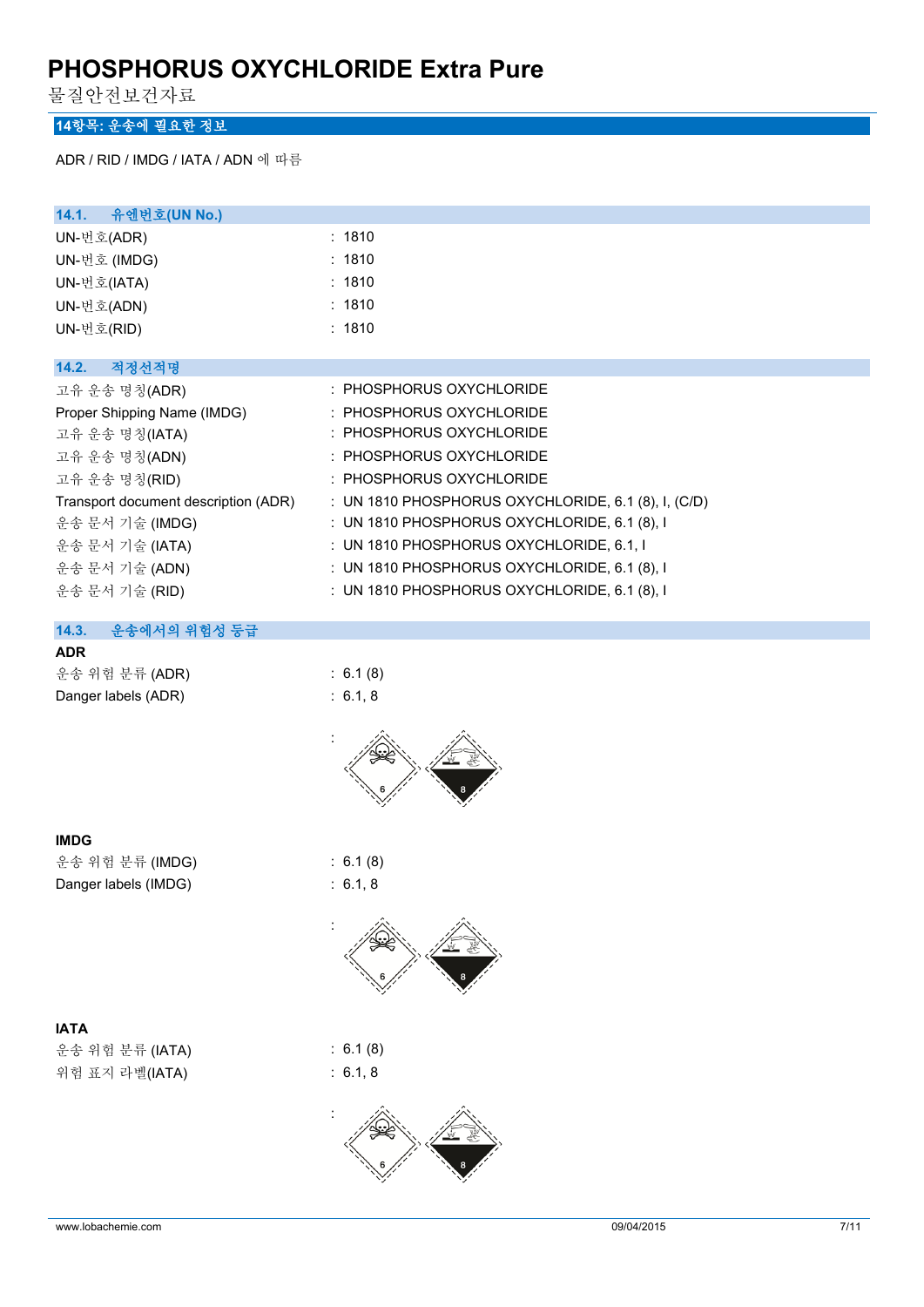물질안전보건자료

# **14항목: 운송에 필요한 정보**

ADR / RID / IMDG / IATA / ADN 에 따름

| 14.1. 유엔번호(UN No.)                   |                                                     |
|--------------------------------------|-----------------------------------------------------|
| UN-번호(ADR)                           | : 1810                                              |
| UN-번호 (IMDG)                         | : 1810                                              |
| UN-번호(IATA)                          | : 1810                                              |
| UN-번호(ADN)                           | : 1810                                              |
| UN-번호(RID)                           | : 1810                                              |
|                                      |                                                     |
| 14.2.<br>적정선적명                       |                                                     |
| 고유 운송 명칭(ADR)                        | : PHOSPHORUS OXYCHLORIDE                            |
| Proper Shipping Name (IMDG)          | : PHOSPHORUS OXYCHLORIDE                            |
| 고유 운송 명칭(IATA)                       | : PHOSPHORUS OXYCHLORIDE                            |
| 고유 운송 명칭(ADN)                        | : PHOSPHORUS OXYCHLORIDE                            |
| 고유 운송 명칭(RID)                        | : PHOSPHORUS OXYCHLORIDE                            |
| Transport document description (ADR) | : UN 1810 PHOSPHORUS OXYCHLORIDE, 6.1 (8), I, (C/D) |
| 운송 문서 기술 (IMDG)                      | : UN 1810 PHOSPHORUS OXYCHLORIDE, 6.1 (8), I        |
| 운송 문서 기술 (IATA)                      | : UN 1810 PHOSPHORUS OXYCHLORIDE, 6.1, I            |
| 운송 문서 기술 (ADN)                       | : UN 1810 PHOSPHORUS OXYCHLORIDE, 6.1 (8), I        |
| 운송 문서 기술 (RID)                       | : UN 1810 PHOSPHORUS OXYCHLORIDE, 6.1 $(8)$ , I     |
|                                      |                                                     |

## **14.3. 운송에서의 위험성 등급**

### **ADR**

| 운송 위험 분류 (ADR)      | : 6.1(8) |
|---------------------|----------|
| Danger labels (ADR) | : 6.1.8  |



#### **IMDG**

운송 위험 분류 (IMDG) : 6.1 (8) Danger labels (IMDG) : 6.1, 8

# **IATA**

운송 위험 분류 (IATA) : 6.1 (8) 위험 표지 라벨(IATA) : 6.1, 8



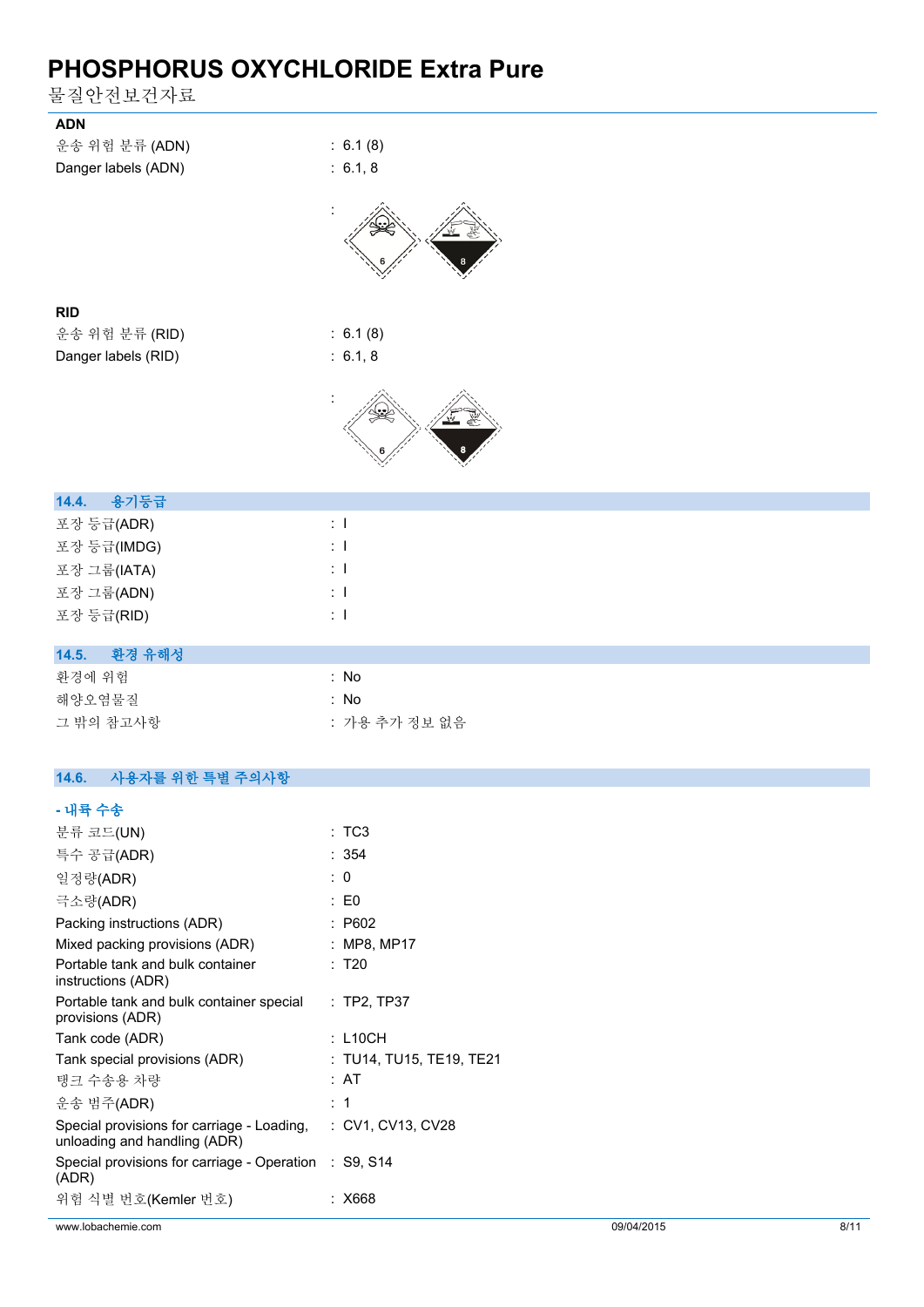물질안전보건자료

| <b>ADN</b>                       |                |
|----------------------------------|----------------|
| 운송 위험 분류 (ADN)                   | : 6.1(8)       |
| Danger labels (ADN)              | : 6.1, 8       |
|                                  |                |
|                                  |                |
| <b>RID</b>                       |                |
| 운송 위험 분류 (RID)                   | : 6.1(8)       |
| Danger labels (RID)              | : 6.1, 8       |
|                                  |                |
|                                  |                |
| 용기등급<br>14.4.                    |                |
| 포장 등급(ADR)                       | $\therefore$ 1 |
| 포장 등급(IMDG)                      | $\pm$ 1        |
| 포장 그룹(IATA)                      | $\pm$ 1        |
| 포장 그룹(ADN)                       | $\div$ 1       |
| 포장 등급(RID)                       | $\pm$ 1        |
|                                  |                |
| 14.5.<br>환경 유해성                  |                |
| 환경에 위험                           | : No           |
| 해양오염물질                           | : No           |
| 그 밖의 참고사항                        | : 가용 추가 정보 없음  |
|                                  |                |
| 14.6.<br>사용자를 위한 특별 주의사항         |                |
| - 내륙 수송                          |                |
| 분류 코드(UN)                        | :TC3           |
| 특수 공급(ADR)                       | : 354          |
| 일정량(ADR)                         | : 0            |
| 극소량(ADR)                         | $\colon$ E0    |
| Packing instructions (ADR)       | : P602         |
| Mixed packing provisions (ADR)   | : MP8, MP17    |
| Portable tank and bulk container | : T20          |

| Portable tank and bulk container<br>instructions (ADR)                     | : T20                    |
|----------------------------------------------------------------------------|--------------------------|
| Portable tank and bulk container special<br>provisions (ADR)               | $:$ TP2, TP37            |
| Tank code (ADR)                                                            | : L10CH                  |
| Tank special provisions (ADR)                                              | : TU14, TU15, TE19, TE21 |
| 탱크 수송용 차량                                                                  | :AT                      |
| 운송 범주(ADR)                                                                 | : 1                      |
| Special provisions for carriage - Loading.<br>unloading and handling (ADR) | : CV1. CV13. CV28        |
| Special provisions for carriage - Operation : S9, S14<br>(ADR)             |                          |
| 위험 식별 번호(Kemler 번호)                                                        | : X668                   |
|                                                                            |                          |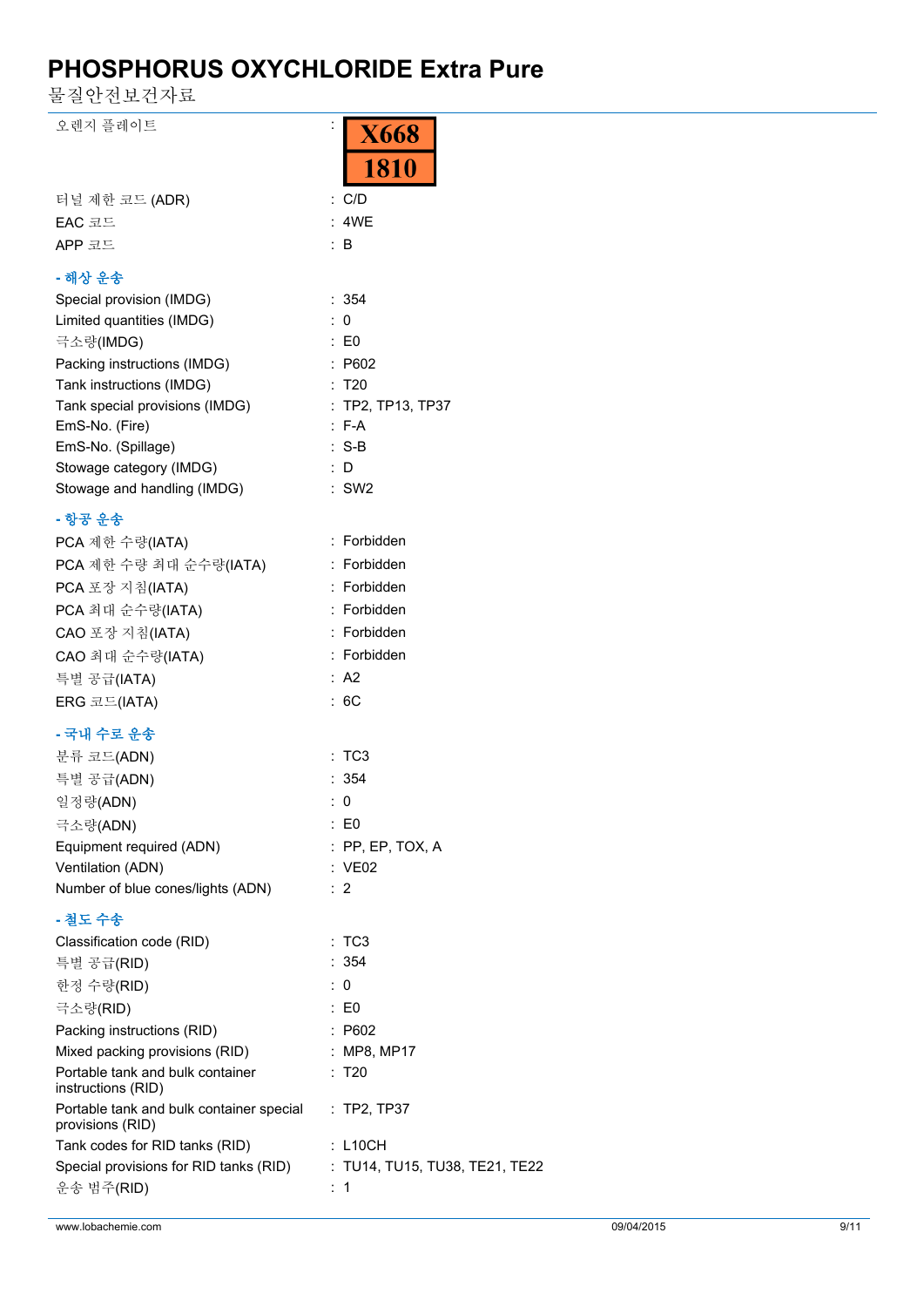물질안전보건자료

| 오렌지 플레이트                                                     | <b>X668</b><br><b>1810</b>     |
|--------------------------------------------------------------|--------------------------------|
|                                                              |                                |
| 터널 제한 코드 (ADR)                                               | $:$ C/D                        |
| EAC 코드                                                       | : 4WE                          |
| APP 코드                                                       | $\therefore$ B                 |
| - 해상 운송                                                      |                                |
| Special provision (IMDG)                                     | : 354                          |
| Limited quantities (IMDG)                                    | $\therefore$ 0                 |
| 극소량(IMDG)                                                    | $\therefore$ E0                |
| Packing instructions (IMDG)                                  | : P602                         |
| Tank instructions (IMDG)                                     | : T20                          |
| Tank special provisions (IMDG)                               | : TP2, TP13, TP37              |
| EmS-No. (Fire)                                               | $: F-A$                        |
| EmS-No. (Spillage)                                           | $:$ S-B                        |
| Stowage category (IMDG)                                      | $\therefore$ D                 |
| Stowage and handling (IMDG)                                  | $:$ SW2                        |
| - 항공 운송                                                      |                                |
| PCA 제한 수량(IATA)                                              | : Forbidden                    |
| PCA 제한 수량 최대 순수량(IATA)                                       | : Forbidden                    |
| PCA 포장 지침(IATA)                                              | : Forbidden                    |
| PCA 최대 순수량(IATA)                                             | : Forbidden                    |
| CAO 포장 지침(IATA)                                              | : Forbidden                    |
| CAO 최대 순수량(IATA)                                             | : Forbidden                    |
| 특별 공급(IATA)                                                  | : A2                           |
| ERG 코드(IATA)                                                 | :6C                            |
| - 국내 수로 운송                                                   |                                |
| 분류 코드(ADN)                                                   | :TC3                           |
| 특별 공급(ADN)                                                   | : 354                          |
| 일정량(ADN)                                                     | : 0                            |
| 극소량(ADN)                                                     | : E0                           |
| Equipment required (ADN)                                     | : PP, EP, TOX, A               |
| Ventilation (ADN)                                            | : VE02                         |
| Number of blue cones/lights (ADN)                            | : 2                            |
|                                                              |                                |
| - 철도 수송                                                      |                                |
| Classification code (RID)                                    | :TC3<br>: 354                  |
| 특별 공급(RID)                                                   |                                |
| 한정 수량(RID)                                                   | : 0                            |
| 극소량(RID)                                                     | $\therefore$ EO                |
| Packing instructions (RID)                                   | : P602                         |
| Mixed packing provisions (RID)                               | : MP8, MP17                    |
| Portable tank and bulk container<br>instructions (RID)       | : T20                          |
| Portable tank and bulk container special<br>provisions (RID) | : TP2, TP37                    |
| Tank codes for RID tanks (RID)                               | $:$ L10CH                      |
| Special provisions for RID tanks (RID)                       | : TU14, TU15, TU38, TE21, TE22 |
| 운송 범주(RID)                                                   | $\therefore$ 1                 |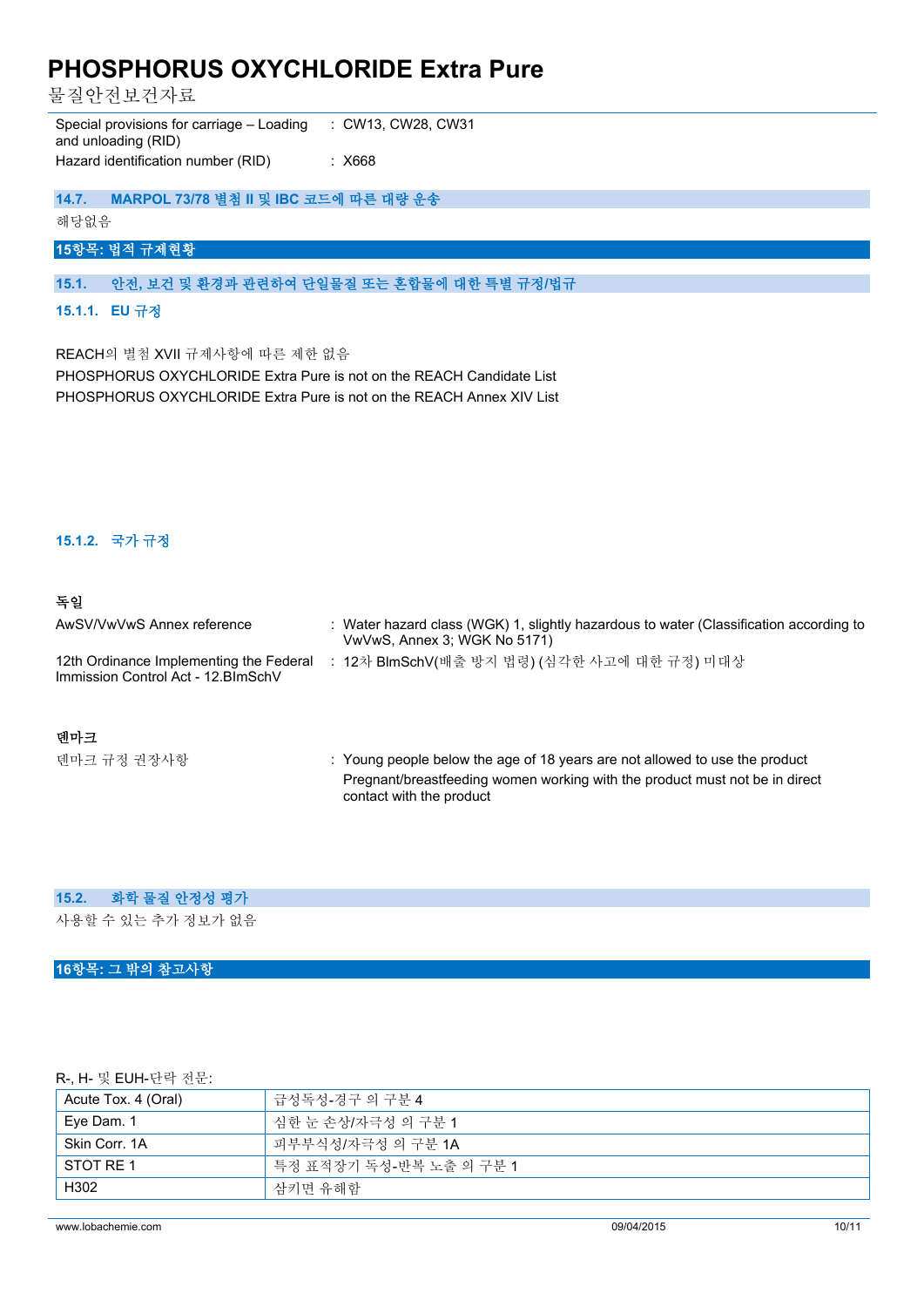물질안전보건자료

Special provisions for carriage – Loading and unloading (RID) : CW13, CW28, CW31 Hazard identification number (RID) : X668

### **14.7. MARPOL 73/78 별첨 II 및 IBC 코드에 따른 대량 운송**

해당없음

# **15항목: 법적 규제현황**

### **15.1. 안전, 보건 및 환경과 관련하여 단일물질 또는 혼합물에 대한 특별 규정/법규**

#### **15.1.1. EU 규정**

REACH의 별첨 XVII 규제사항에 따른 제한 없음

PHOSPHORUS OXYCHLORIDE Extra Pure is not on the REACH Candidate List PHOSPHORUS OXYCHLORIDE Extra Pure is not on the REACH Annex XIV List

#### **15.1.2. 국가 규정**

### **독일**

| AwSV/VwVwS Annex reference                                                     | : Water hazard class (WGK) 1, slightly hazardous to water (Classification according to<br>VwVwS, Annex 3; WGK No 5171) |
|--------------------------------------------------------------------------------|------------------------------------------------------------------------------------------------------------------------|
| 12th Ordinance Implementing the Federal<br>Immission Control Act - 12. BlmSchV | : 12차 BlmSchV(배출 방지 법령) (심각한 사고에 대한 규정) 미대상                                                                            |
| 덴마크                                                                            |                                                                                                                        |

덴마크 규정 권장사항 : Young people below the age of 18 years are not allowed to use the product Pregnant/breastfeeding women working with the product must not be in direct contact with the product

#### **15.2. 화학 물질 안정성 평가**

사용할 수 있는 추가 정보가 없음

#### **16항목: 그 밖의 참고사항**

### R-, H- 및 EUH-단락 전문:

| Acute Tox. 4 (Oral) | 급성독성-경구 의 구분 4          |
|---------------------|-------------------------|
| Eye Dam. 1          | 식한 눈 손상/자극성 의 구분 1      |
| Skin Corr. 1A       | 피부부식성/자극성 의 구분 1A       |
| STOT RE 1           | 특정 표적장기 독성-반복 노출 의 구분 1 |
| H302                | 삼키면 유해함                 |